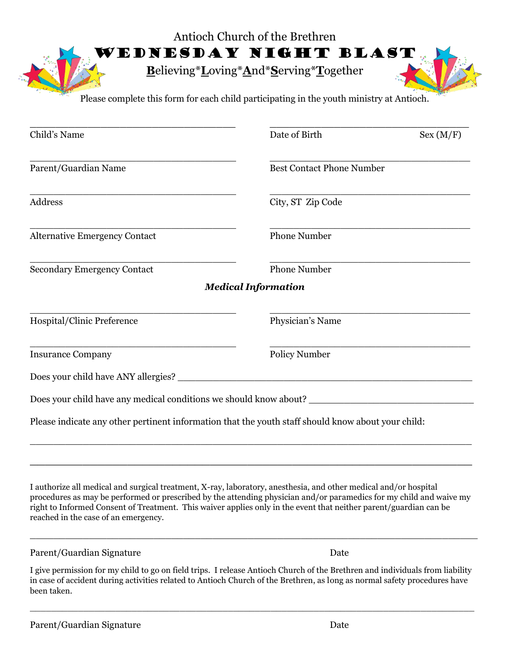| Antioch Church of the Brethren                                                           |
|------------------------------------------------------------------------------------------|
| L WEDNESDAY NIGHT BLAST                                                                  |
| Believing*Loving*And*Serving*Together                                                    |
| Please complete this form for each child participating in the youth ministry at Antioch. |

| Child's Name                                                                                         | Date of Birth                    | Sex (M/F) |
|------------------------------------------------------------------------------------------------------|----------------------------------|-----------|
| Parent/Guardian Name                                                                                 | <b>Best Contact Phone Number</b> |           |
| <b>Address</b>                                                                                       | City, ST Zip Code                |           |
| <b>Alternative Emergency Contact</b>                                                                 | <b>Phone Number</b>              |           |
| <b>Secondary Emergency Contact</b>                                                                   | <b>Phone Number</b>              |           |
|                                                                                                      | <b>Medical Information</b>       |           |
| Hospital/Clinic Preference                                                                           | Physician's Name                 |           |
| <b>Insurance Company</b>                                                                             | <b>Policy Number</b>             |           |
| Does your child have ANY allergies?                                                                  |                                  |           |
| Does your child have any medical conditions we should know about? __________________________________ |                                  |           |
| Please indicate any other pertinent information that the youth staff should know about your child:   |                                  |           |
|                                                                                                      |                                  |           |

I authorize all medical and surgical treatment, X-ray, laboratory, anesthesia, and other medical and/or hospital procedures as may be performed or prescribed by the attending physician and/or paramedics for my child and waive my right to Informed Consent of Treatment. This waiver applies only in the event that neither parent/guardian can be reached in the case of an emergency.

\_\_\_\_\_\_\_\_\_\_\_\_\_\_\_\_\_\_\_\_\_\_\_\_\_\_\_\_\_\_\_\_\_\_\_\_\_\_\_\_\_\_\_\_\_\_\_\_\_\_\_\_\_\_\_\_\_\_\_\_\_\_\_\_\_\_\_\_\_\_\_\_\_\_\_\_

\_\_\_\_\_\_\_\_\_\_\_\_\_\_\_\_\_\_\_\_\_\_\_\_\_\_\_\_\_\_\_\_\_\_\_\_\_\_\_\_\_\_\_\_\_\_\_\_\_\_\_\_\_\_\_\_\_\_\_

## Parent/Guardian Signature Date

I give permission for my child to go on field trips. I release Antioch Church of the Brethren and individuals from liability in case of accident during activities related to Antioch Church of the Brethren, as long as normal safety procedures have been taken.

 $\_$  , and the set of the set of the set of the set of the set of the set of the set of the set of the set of the set of the set of the set of the set of the set of the set of the set of the set of the set of the set of th